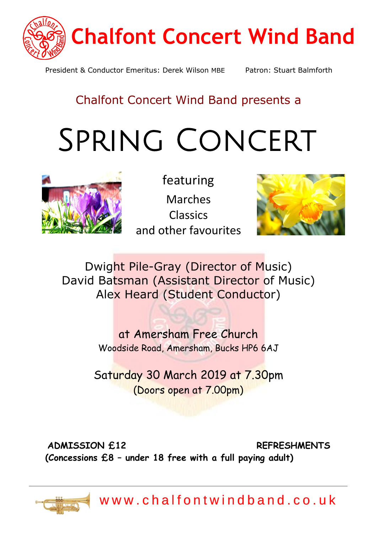

President & Conductor Emeritus: Derek Wilson MBE Patron: Stuart Balmforth

## Chalfont Concert Wind Band presents a

# Spring Concert



featuring Marches Classics and other favourites



Dwight Pile-Gray (Director of [Music](https://creativecommons.org/licenses/by-sa/3.0/)) David Batsman (Assistant Director of Music) Alex Heard (Student Conductor)

> at Amersham Free Church Woodside Road, Amersham, Bucks HP6 6AJ

Saturday 30 March 2019 at 7.30pm (Doors open at 7.00pm)

**ADMISSION £12 REFRESHMENTS (Concessions £8 – under 18 free with a full paying adult)**



www.chalfontwindband.co.uk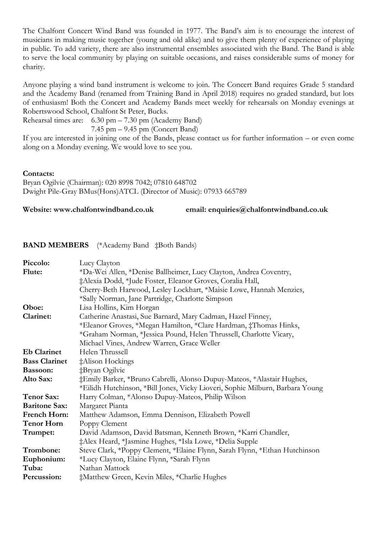The Chalfont Concert Wind Band was founded in 1977. The Band's aim is to encourage the interest of musicians in making music together (young and old alike) and to give them plenty of experience of playing in public. To add variety, there are also instrumental ensembles associated with the Band. The Band is able to serve the local community by playing on suitable occasions, and raises considerable sums of money for charity.

Anyone playing a wind band instrument is welcome to join. The Concert Band requires Grade 5 standard and the Academy Band (renamed from Training Band in April 2018) requires no graded standard, but lots of enthusiasm! Both the Concert and Academy Bands meet weekly for rehearsals on Monday evenings at Robertswood School, Chalfont St Peter, Bucks.

Rehearsal times are: 6.30 pm – 7.30 pm (Academy Band)

7.45 pm – 9.45 pm (Concert Band)

If you are interested in joining one of the Bands, please contact us for further information – or even come along on a Monday evening. We would love to see you.

#### **Contacts:**

Bryan Ogilvie (Chairman): 020 8998 7042; 07810 648702 Dwight Pile-Gray BMus(Hons)ATCL (Director of Music): 07933 665789

**Website: www.chalfontwindband.co.uk email: enquiries@chalfontwindband.co.uk**

#### **BAND MEMBERS** (\*Academy Band ‡Both Bands)

| Piccolo:             | Lucy Clayton                                                                  |
|----------------------|-------------------------------------------------------------------------------|
| Flute:               | *Da-Wei Allen, *Denise Ballheimer, Lucy Clayton, Andrea Coventry,             |
|                      | ‡Alexia Dodd, *Jude Foster, Eleanor Groves, Coralia Hall,                     |
|                      | Cherry-Beth Harwood, Lesley Lockhart, *Maisie Lowe, Hannah Menzies,           |
|                      | *Sally Norman, Jane Partridge, Charlotte Simpson                              |
| Oboe:                | Lisa Hollins, Kim Horgan                                                      |
| Clarinet:            | Catherine Anastasi, Sue Barnard, Mary Cadman, Hazel Finney,                   |
|                      | *Eleanor Groves, *Megan Hamilton, *Clare Hardman, ‡Thomas Hinks,              |
|                      | *Graham Norman, *Jessica Pound, Helen Thrussell, Charlotte Vicary,            |
|                      | Michael Vines, Andrew Warren, Grace Weller                                    |
| <b>Eb Clarinet</b>   | Helen Thrussell                                                               |
| <b>Bass Clarinet</b> | ‡Alison Hockings                                                              |
| Bassoon:             | ‡Bryan Ogilvie                                                                |
| Alto Sax:            | ‡Emily Barker, *Bruno Cabrelli, Alonso Dupuy-Mateos, *Alastair Hughes,        |
|                      | *Eilidh Hutchinson, *Bill Jones, Vicky Lioveri, Sophie Milburn, Barbara Young |
| <b>Tenor Sax:</b>    | Harry Colman, *Alonso Dupuy-Mateos, Philip Wilson                             |
| <b>Baritone Sax:</b> | Margaret Pianta                                                               |
| French Horn:         | Matthew Adamson, Emma Dennison, Elizabeth Powell                              |
| <b>Tenor Horn</b>    | Poppy Clement                                                                 |
| Trumpet:             | David Adamson, David Batsman, Kenneth Brown, *Karri Chandler,                 |
|                      | ‡Alex Heard, *Jasmine Hughes, *Isla Lowe, *Delia Supple                       |
| Trombone:            | Steve Clark, *Poppy Clement, *Elaine Flynn, Sarah Flynn, *Ethan Hutchinson    |
| Euphonium:           | *Lucy Clayton, Elaine Flynn, *Sarah Flynn                                     |
| Tuba:                | Nathan Mattock                                                                |
| Percussion:          | ‡Matthew Green, Kevin Miles, *Charlie Hughes                                  |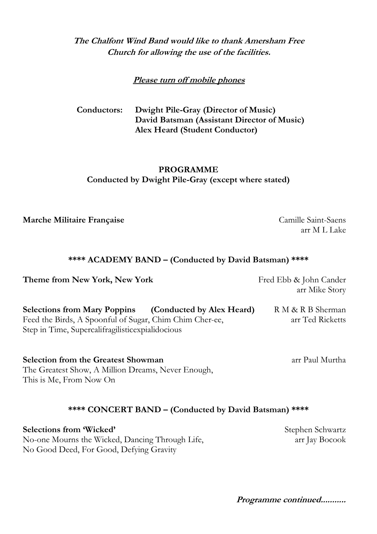#### **The Chalfont Wind Band would like to thank Amersham Free Church for allowing the use of the facilities.**

#### **Please turn off mobile phones**

**Conductors: Dwight Pile-Gray (Director of Music) David Batsman (Assistant Director of Music) Alex Heard (Student Conductor)**

#### **PROGRAMME Conducted by Dwight Pile-Gray (except where stated)**

**Marche Militaire Française** Camille Saint-Saens

arr M L Lake

#### **\*\*\*\* ACADEMY BAND – (Conducted by David Batsman) \*\*\*\***

**Theme from New York, New York** Fred Ebb & John Cander

arr Mike Story

**Selections from Mary Poppins (Conducted by Alex Heard)** R M & R B Sherman Feed the Birds, A Spoonful of Sugar, Chim Chim Cher-ee, arr Ted Ricketts Step in Time, Supercalifragilisticexpialidocious

**Selection from the Greatest Showman** arr Paul Murtha The Greatest Show, A Million Dreams, Never Enough, This is Me, From Now On

#### **\*\*\*\* CONCERT BAND – (Conducted by David Batsman) \*\*\*\***

**Selections from 'Wicked'** Stephen Schwartz No-one Mourns the Wicked, Dancing Through Life, arr Jay Bocook No Good Deed, For Good, Defying Gravity

**Programme continued...........**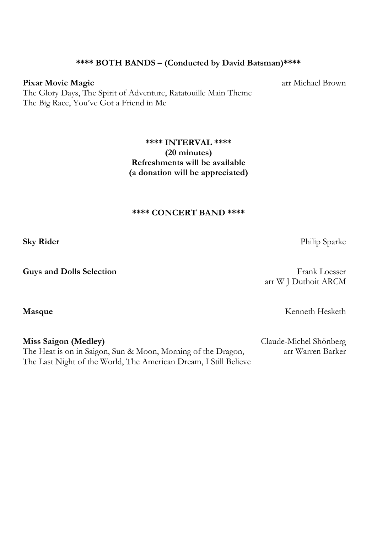#### **\*\*\*\* BOTH BANDS – (Conducted by David Batsman)\*\*\*\***

#### **Pixar Movie Magic** arr Michael Brown

The Glory Days, The Spirit of Adventure, Ratatouille Main Theme The Big Race, You've Got a Friend in Me

> **\*\*\*\* INTERVAL \*\*\*\* (20 minutes) Refreshments will be available (a donation will be appreciated)**

#### **\*\*\*\* CONCERT BAND \*\*\*\***

**Guys and Dolls Selection** Frank Loesser

arr W J Duthoit ARCM

Masque **Kenneth Hesketh** 

**Miss Saigon (Medley)** Claude-Michel Shönberg The Heat is on in Saigon, Sun & Moon, Morning of the Dragon, arr Warren Barker The Last Night of the World, The American Dream, I Still Believe

**Sky Rider** Philip Sparke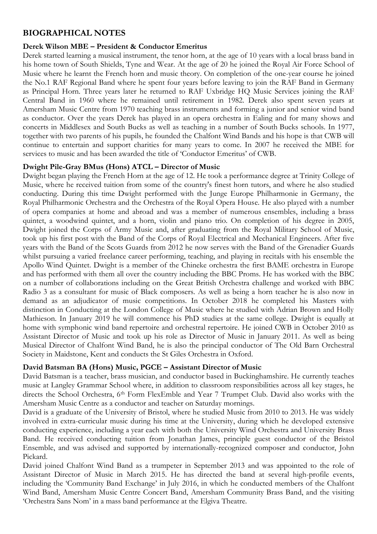#### **BIOGRAPHICAL NOTES**

#### **Derek Wilson MBE – President & Conductor Emeritus**

Derek started learning a musical instrument, the tenor horn, at the age of 10 years with a local brass band in his home town of South Shields, Tyne and Wear. At the age of 20 he joined the Royal Air Force School of Music where he learnt the French horn and music theory. On completion of the one-year course he joined the No.1 RAF Regional Band where he spent four years before leaving to join the RAF Band in Germany as Principal Horn. Three years later he returned to RAF Uxbridge HQ Music Services joining the RAF Central Band in 1960 where he remained until retirement in 1982. Derek also spent seven years at Amersham Music Centre from 1970 teaching brass instruments and forming a junior and senior wind band as conductor. Over the years Derek has played in an opera orchestra in Ealing and for many shows and concerts in Middlesex and South Bucks as well as teaching in a number of South Bucks schools. In 1977, together with two parents of his pupils, he founded the Chalfont Wind Bands and his hope is that CWB will continue to entertain and support charities for many years to come. In 2007 he received the MBE for services to music and has been awarded the title of 'Conductor Emeritus' of CWB.

#### **Dwight Pile-Gray BMus (Hons) ATCL – Director of Music**

Dwight began playing the French Horn at the age of 12. He took a performance degree at Trinity College of Music, where he received tuition from some of the country's finest horn tutors, and where he also studied conducting. During this time Dwight performed with the Junge Europe Philharmonie in Germany, the Royal Philharmonic Orchestra and the Orchestra of the Royal Opera House. He also played with a number of opera companies at home and abroad and was a member of numerous ensembles, including a brass quintet, a woodwind quintet, and a horn, violin and piano trio. On completion of his degree in 2005, Dwight joined the Corps of Army Music and, after graduating from the Royal Military School of Music, took up his first post with the Band of the Corps of Royal Electrical and Mechanical Engineers. After five years with the Band of the Scots Guards from 2012 he now serves with the Band of the Grenadier Guards whilst pursuing a varied freelance career performing, teaching, and playing in recitals with his ensemble the Apollo Wind Quintet. Dwight is a member of the Chineke orchestra the first BAME orchestra in Europe and has performed with them all over the country including the BBC Proms. He has worked with the BBC on a number of collaborations including on the Great British Orchestra challenge and worked with BBC Radio 3 as a consultant for music of Black composers. As well as being a horn teacher he is also now in demand as an adjudicator of music competitions. In October 2018 he completed his Masters with distinction in Conducting at the London College of Music where he studied with Adrian Brown and Holly Mathieson. In January 2019 he will commence his PhD studies at the same college. Dwight is equally at home with symphonic wind band repertoire and orchestral repertoire. He joined CWB in October 2010 as Assistant Director of Music and took up his role as Director of Music in January 2011. As well as being Musical Director of Chalfont Wind Band, he is also the principal conductor of The Old Barn Orchestral Society in Maidstone, Kent and conducts the St Giles Orchestra in Oxford.

#### **David Batsman BA (Hons) Music, PGCE – Assistant Director of Music**

David Batsman is a teacher, brass musician, and conductor based in Buckinghamshire. He currently teaches music at Langley Grammar School where, in addition to classroom responsibilities across all key stages, he directs the School Orchestra, 6<sup>th</sup> Form FlexEmble and Year 7 Trumpet Club. David also works with the Amersham Music Centre as a conductor and teacher on Saturday mornings.

David is a graduate of the University of Bristol, where he studied Music from 2010 to 2013. He was widely involved in extra-curricular music during his time at the University, during which he developed extensive conducting experience, including a year each with both the University Wind Orchestra and University Brass Band. He received conducting tuition from Jonathan James, principle guest conductor of the Bristol Ensemble, and was advised and supported by internationally-recognized composer and conductor, John Pickard.

David joined Chalfont Wind Band as a trumpeter in September 2013 and was appointed to the role of Assistant Director of Music in March 2015. He has directed the band at several high-profile events, including the 'Community Band Exchange' in July 2016, in which he conducted members of the Chalfont Wind Band, Amersham Music Centre Concert Band, Amersham Community Brass Band, and the visiting 'Orchestra Sans Nom' in a mass band performance at the Elgiva Theatre.